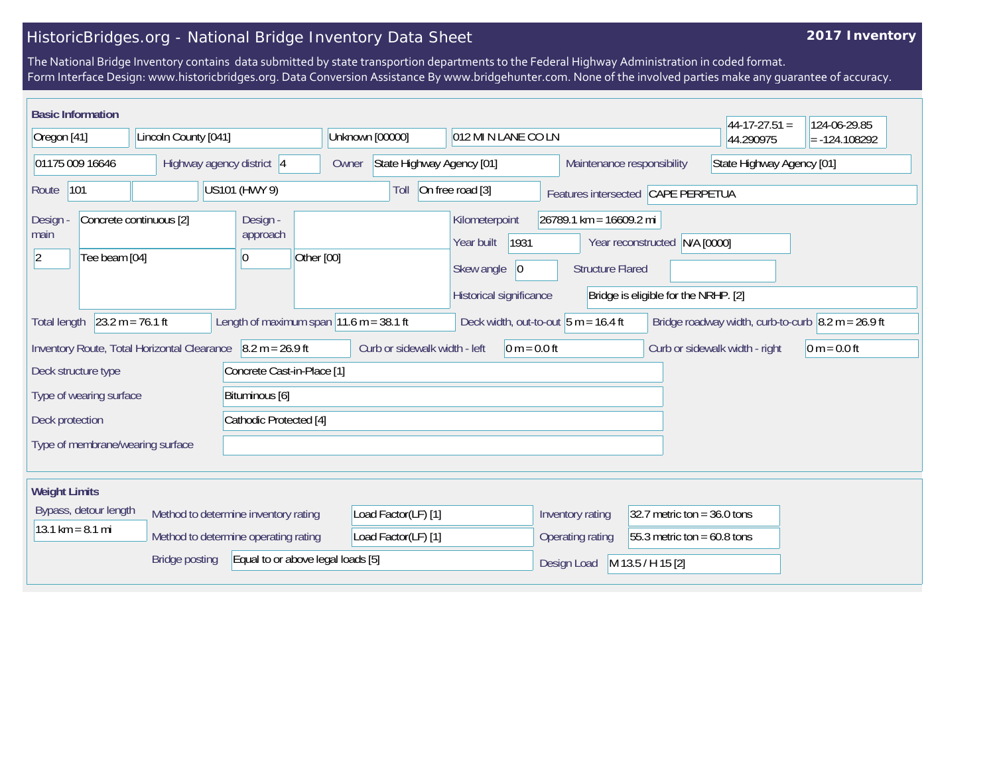## HistoricBridges.org - National Bridge Inventory Data Sheet

## **2017 Inventory**

The National Bridge Inventory contains data submitted by state transportion departments to the Federal Highway Administration in coded format. Form Interface Design: www.historicbridges.org. Data Conversion Assistance By www.bridgehunter.com. None of the involved parties make any guarantee of accuracy.

| <b>Basic Information</b>                                                                                                                                                                                                                                    |                                             |                                                 |                                                          |                                                 |                                                                                                                                              |                                    | $44-17-27.51 =$                | 124-06-29.85   |
|-------------------------------------------------------------------------------------------------------------------------------------------------------------------------------------------------------------------------------------------------------------|---------------------------------------------|-------------------------------------------------|----------------------------------------------------------|-------------------------------------------------|----------------------------------------------------------------------------------------------------------------------------------------------|------------------------------------|--------------------------------|----------------|
| Lincoln County [041]<br>Oregon [41]                                                                                                                                                                                                                         |                                             | Unknown [00000]                                 | 012 MI N LANE CO LN                                      |                                                 |                                                                                                                                              | 44.290975                          | $= -124.108292$                |                |
| 01175 009 16646<br>Highway agency district 4                                                                                                                                                                                                                |                                             | Owner                                           | State Highway Agency [01]                                |                                                 | Maintenance responsibility                                                                                                                   | State Highway Agency [01]          |                                |                |
| 101<br>US101 (HWY 9)<br>Route                                                                                                                                                                                                                               |                                             |                                                 | Toll                                                     | On free road [3]                                |                                                                                                                                              | Features intersected CAPE PERPETUA |                                |                |
| Concrete continuous [2]<br>Design<br>main<br>$ 2\rangle$<br>Tee beam [04]<br>10                                                                                                                                                                             |                                             | Design -<br>approach                            | Kilometerpoint<br>Year built<br>Other [00]<br>Skew angle |                                                 | $26789.1$ km = 16609.2 mi<br>1931<br>Year reconstructed N/A [0000]<br><b>Structure Flared</b><br> 0 <br>Bridge is eligible for the NRHP. [2] |                                    |                                |                |
| Historical significance<br>$23.2 m = 76.1 ft$<br>Length of maximum span $ 11.6 \text{ m} = 38.1 \text{ ft} $<br>Deck width, out-to-out $5 m = 16.4 ft$<br>Bridge roadway width, curb-to-curb $\vert 8.2 \text{ m} = 26.9 \text{ ft}$<br><b>Total length</b> |                                             |                                                 |                                                          |                                                 |                                                                                                                                              |                                    |                                |                |
| Deck structure type                                                                                                                                                                                                                                         | Inventory Route, Total Horizontal Clearance | $8.2 m = 26.9 ft$<br>Concrete Cast-in-Place [1] |                                                          | Curb or sidewalk width - left<br>$0 m = 0.0 ft$ |                                                                                                                                              |                                    | Curb or sidewalk width - right | $0 m = 0.0 ft$ |
| Type of wearing surface<br>Bituminous [6]                                                                                                                                                                                                                   |                                             |                                                 |                                                          |                                                 |                                                                                                                                              |                                    |                                |                |
| Deck protection                                                                                                                                                                                                                                             |                                             | Cathodic Protected [4]                          |                                                          |                                                 |                                                                                                                                              |                                    |                                |                |
| Type of membrane/wearing surface                                                                                                                                                                                                                            |                                             |                                                 |                                                          |                                                 |                                                                                                                                              |                                    |                                |                |
| <b>Weight Limits</b>                                                                                                                                                                                                                                        |                                             |                                                 |                                                          |                                                 |                                                                                                                                              |                                    |                                |                |
| Bypass, detour length<br>Method to determine inventory rating<br>$13.1 \text{ km} = 8.1 \text{ mi}$<br>Method to determine operating rating                                                                                                                 |                                             |                                                 | Load Factor(LF) [1]<br>Load Factor(LF) [1]               |                                                 | 32.7 metric ton = $36.0$ tons<br>55.3 metric ton = $60.8$ tons                                                                               |                                    |                                |                |
| Equal to or above legal loads [5]<br><b>Bridge posting</b>                                                                                                                                                                                                  |                                             |                                                 |                                                          |                                                 | Design Load                                                                                                                                  | M 13.5 / H 15 [2]                  |                                |                |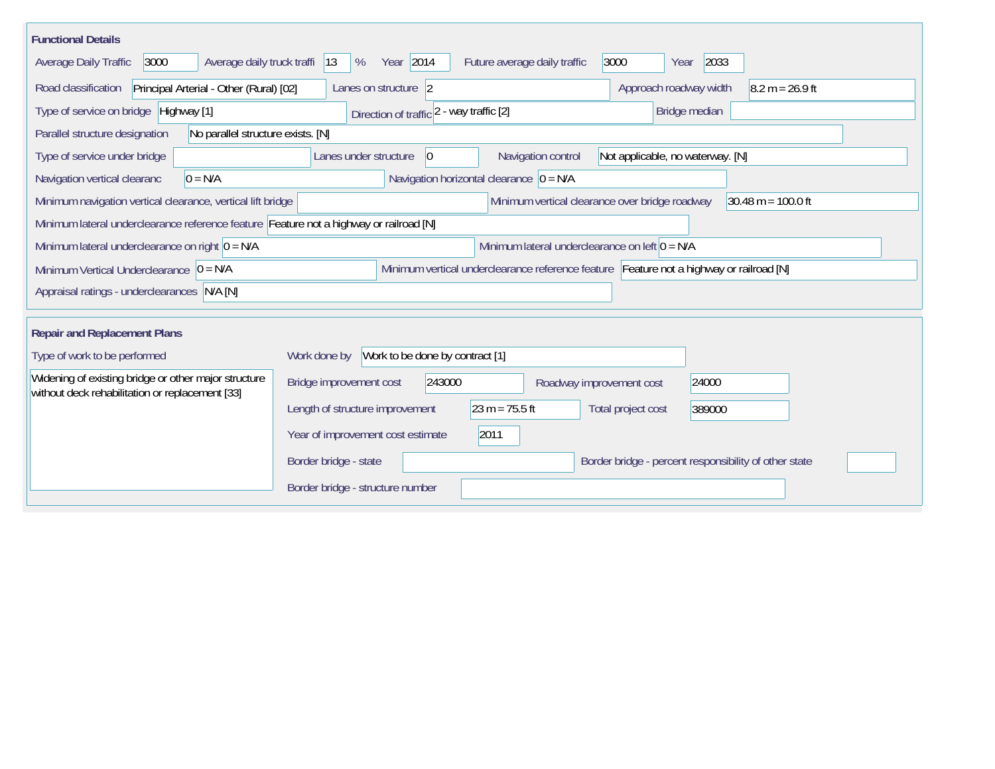| <b>Functional Details</b>                                                                                                             |                                          |                                             |                                                |                                  |                                                       |  |
|---------------------------------------------------------------------------------------------------------------------------------------|------------------------------------------|---------------------------------------------|------------------------------------------------|----------------------------------|-------------------------------------------------------|--|
| Average daily truck traffi<br>Average Daily Traffic<br>3000                                                                           | Year 2014<br> 13<br>%                    |                                             | 3000<br>Future average daily traffic           | Year                             | 2033                                                  |  |
| Road classification<br>Principal Arterial - Other (Rural) [02]                                                                        | Lanes on structure 2                     |                                             |                                                | Approach roadway width           | $8.2 m = 26.9 ft$                                     |  |
| Type of service on bridge Highway [1]                                                                                                 | Direction of traffic 2 - way traffic [2] |                                             |                                                | Bridge median                    |                                                       |  |
| No parallel structure exists. [N]<br>Parallel structure designation                                                                   |                                          |                                             |                                                |                                  |                                                       |  |
| Type of service under bridge                                                                                                          | Lanes under structure<br>$\overline{0}$  |                                             | Navigation control                             | Not applicable, no waterway. [N] |                                                       |  |
| $0 = N/A$<br>Navigation vertical clearanc                                                                                             |                                          | Navigation horizontal clearance $ 0 = N/A $ |                                                |                                  |                                                       |  |
| Minimum navigation vertical clearance, vertical lift bridge                                                                           |                                          |                                             | Minimum vertical clearance over bridge roadway |                                  | $30.48 \text{ m} = 100.0 \text{ ft}$                  |  |
| Minimum lateral underclearance reference feature Feature not a highway or railroad [N]                                                |                                          |                                             |                                                |                                  |                                                       |  |
| Minimum lateral underclearance on left $0 = N/A$<br>Minimum lateral underclearance on right $0 = N/A$                                 |                                          |                                             |                                                |                                  |                                                       |  |
| Minimum vertical underclearance reference feature Feature not a highway or railroad [N]<br>Minimum Vertical Underclearance $ 0 = N/A$ |                                          |                                             |                                                |                                  |                                                       |  |
| Appraisal ratings - underclearances N/A [N]                                                                                           |                                          |                                             |                                                |                                  |                                                       |  |
| <b>Repair and Replacement Plans</b>                                                                                                   |                                          |                                             |                                                |                                  |                                                       |  |
| Type of work to be performed                                                                                                          | Work done by                             | Work to be done by contract [1]             |                                                |                                  |                                                       |  |
| Widening of existing bridge or other major structure                                                                                  |                                          |                                             |                                                |                                  |                                                       |  |
| without deck rehabilitation or replacement [33]                                                                                       | Bridge improvement cost                  | 243000                                      | Roadway improvement cost                       |                                  | 24000                                                 |  |
|                                                                                                                                       | Length of structure improvement          | $23 m = 75.5 ft$                            |                                                | Total project cost               | 389000                                                |  |
|                                                                                                                                       | Year of improvement cost estimate        | 2011                                        |                                                |                                  |                                                       |  |
|                                                                                                                                       | Border bridge - state                    |                                             |                                                |                                  | Border bridge - percent responsibility of other state |  |
|                                                                                                                                       | Border bridge - structure number         |                                             |                                                |                                  |                                                       |  |